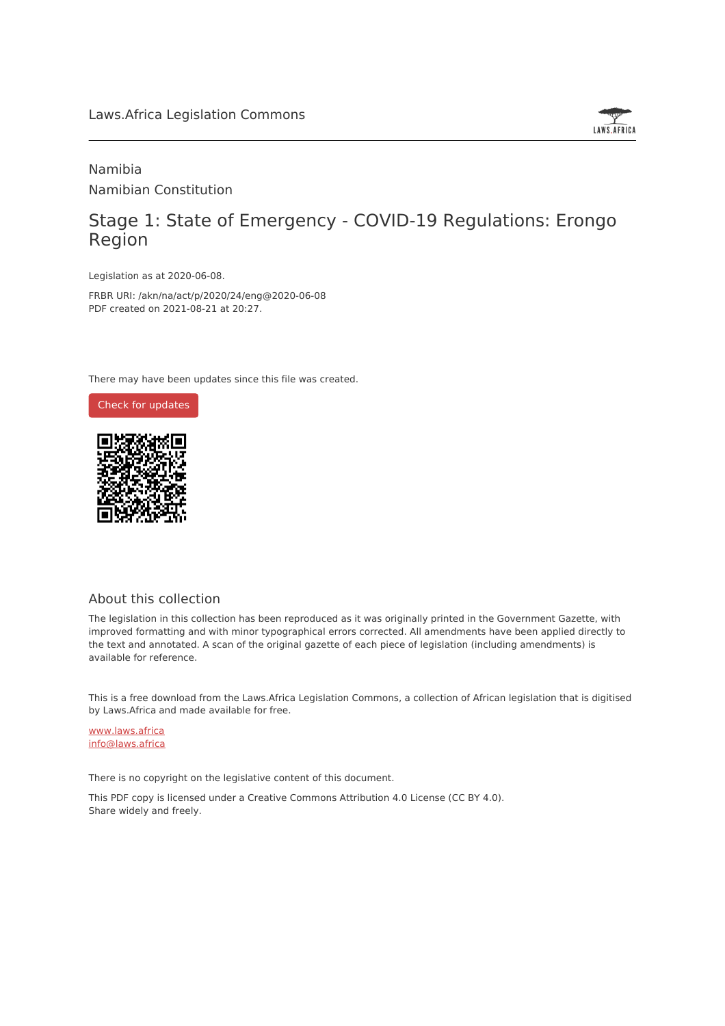# Laws.Africa Legislation Commons



# Namibia Namibian Constitution

# Stage 1: State of Emergency - COVID-19 Regulations: Erongo Region

Legislation as at 2020-06-08.

FRBR URI: /akn/na/act/p/2020/24/eng@2020-06-08 PDF created on 2021-08-21 at 20:27.

There may have been updates since this file was created.



#### About this collection

The legislation in this collection has been reproduced as it was originally printed in the Government Gazette, with improved formatting and with minor typographical errors corrected. All amendments have been applied directly to the text and annotated. A scan of the original gazette of each piece of legislation (including amendments) is available for reference.

This is a free download from the Laws.Africa Legislation Commons, a collection of African legislation that is digitised by Laws.Africa and made available for free.

[www.laws.africa](https://www.laws.africa) [info@laws.africa](mailto:info@laws.africa)

There is no copyright on the legislative content of this document.

This PDF copy is licensed under a Creative Commons Attribution 4.0 License (CC BY 4.0). Share widely and freely.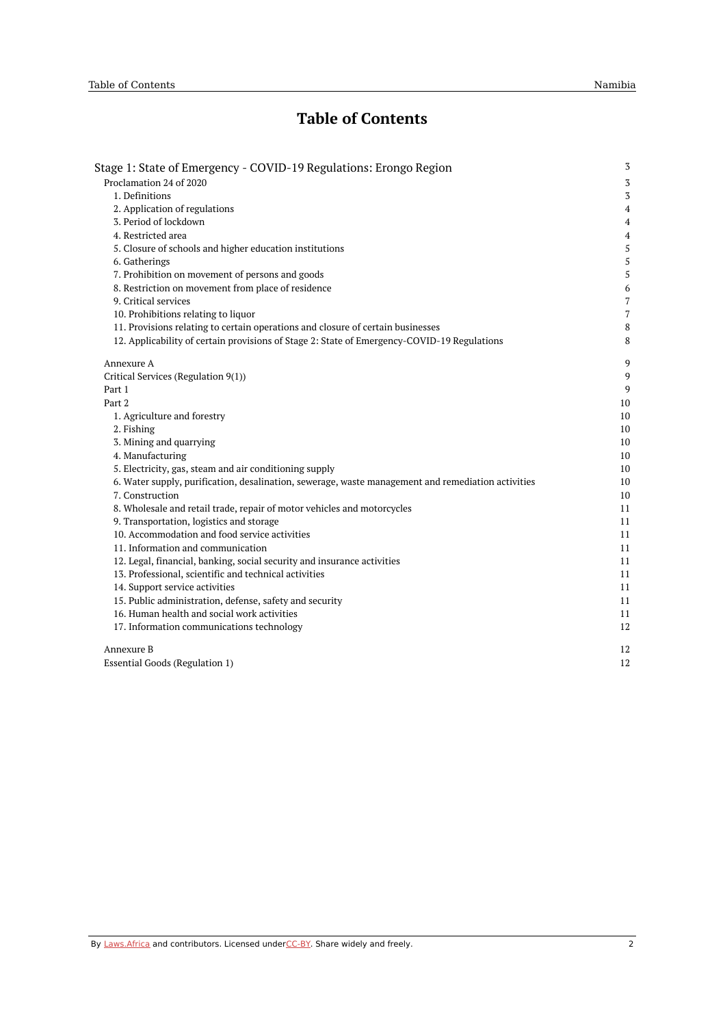# **Table of Contents**

| Stage 1: State of Emergency - COVID-19 Regulations: Erongo Region                                  | $\sqrt{3}$       |
|----------------------------------------------------------------------------------------------------|------------------|
| Proclamation 24 of 2020                                                                            | 3                |
| 1. Definitions                                                                                     | $\overline{3}$   |
| 2. Application of regulations                                                                      | $\overline{4}$   |
| 3. Period of lockdown                                                                              | $\overline{4}$   |
| 4. Restricted area                                                                                 | $\boldsymbol{4}$ |
| 5. Closure of schools and higher education institutions                                            | 5                |
| 6. Gatherings                                                                                      | 5                |
| 7. Prohibition on movement of persons and goods                                                    | 5                |
| 8. Restriction on movement from place of residence                                                 | 6                |
| 9. Critical services                                                                               | 7                |
| 10. Prohibitions relating to liquor                                                                | $\overline{7}$   |
| 11. Provisions relating to certain operations and closure of certain businesses                    | 8                |
| 12. Applicability of certain provisions of Stage 2: State of Emergency-COVID-19 Regulations        | 8                |
| Annexure A                                                                                         | 9                |
| Critical Services (Regulation 9(1))                                                                | 9                |
| Part 1                                                                                             | 9                |
| Part 2                                                                                             | 10               |
| 1. Agriculture and forestry                                                                        | 10               |
| 2. Fishing                                                                                         | 10               |
| 3. Mining and quarrying                                                                            | 10               |
| 4. Manufacturing                                                                                   | 10               |
| 5. Electricity, gas, steam and air conditioning supply                                             | 10               |
| 6. Water supply, purification, desalination, sewerage, waste management and remediation activities | 10               |
| 7. Construction                                                                                    | 10               |
| 8. Wholesale and retail trade, repair of motor vehicles and motorcycles                            | 11               |
| 9. Transportation, logistics and storage                                                           | 11               |
| 10. Accommodation and food service activities                                                      | 11               |
| 11. Information and communication                                                                  | 11               |
| 12. Legal, financial, banking, social security and insurance activities                            | 11               |
| 13. Professional, scientific and technical activities                                              | 11               |
| 14. Support service activities                                                                     | 11               |
| 15. Public administration, defense, safety and security                                            | 11               |
| 16. Human health and social work activities                                                        | 11               |
| 17. Information communications technology                                                          | 12               |
| Annexure B                                                                                         | 12               |
| <b>Essential Goods (Regulation 1)</b>                                                              | 12               |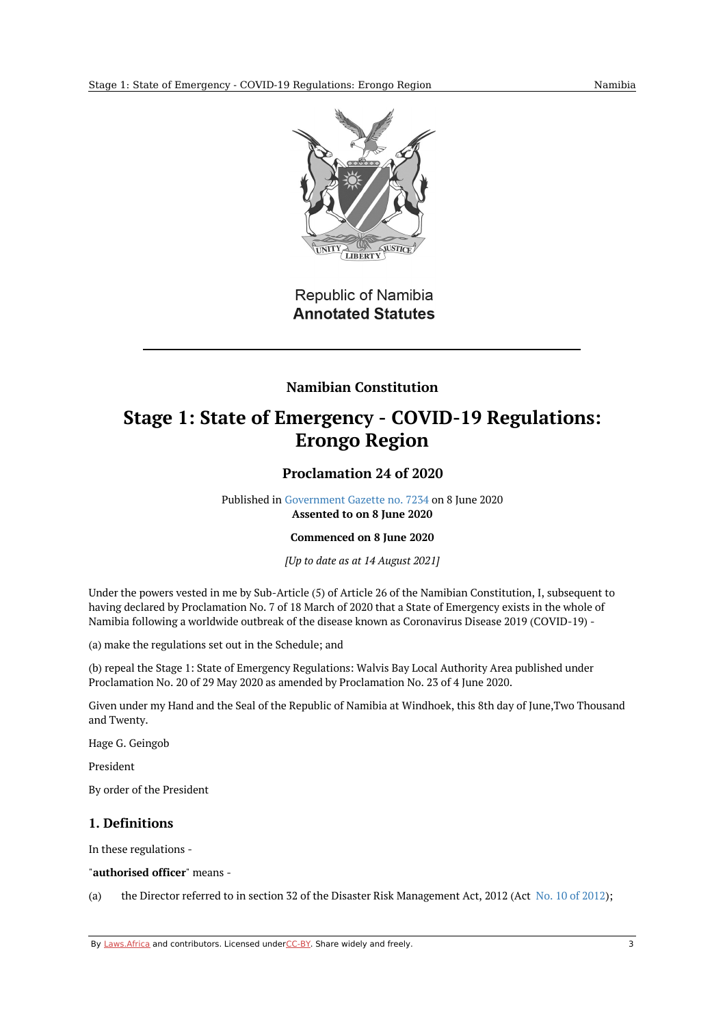

**Republic of Namibia Annotated Statutes** 

# **Namibian Constitution**

# <span id="page-2-1"></span><span id="page-2-0"></span>**Stage 1: State of Emergency - COVID-19 Regulations: Erongo Region**

# **Proclamation 24 of 2020**

Published in [Government](https://commons.laws.africa/akn/na/act/p/2020/24/media/publication/na-act-p-2020-24-publication-document.pdf) Gazette no. 7234 on 8 June 2020 **Assented to on 8 June 2020**

#### **Commenced on 8 June 2020**

*[Up to date as at 14 August 2021]*

Under the powers vested in me by Sub-Article (5) of Article 26 of the Namibian Constitution, I, subsequent to having declared by Proclamation No. 7 of 18 March of 2020 that a State of Emergency exists in the whole of Namibia following a worldwide outbreak of the disease known as Coronavirus Disease 2019 (COVID-19) -

(a) make the regulations set out in the Schedule; and

(b) repeal the Stage 1: State of Emergency Regulations: Walvis Bay Local Authority Area published under Proclamation No. 20 of 29 May 2020 as amended by Proclamation No. 23 of 4 June 2020.

Given under my Hand and the Seal of the Republic of Namibia at Windhoek, this 8th day of June,Two Thousand and Twenty.

Hage G. Geingob

President

By order of the President

## <span id="page-2-2"></span>**1. Definitions**

In these regulations -

"**authorised officer**" means -

(a) the Director referred to in section 32 of the Disaster Risk Management Act, [2012](https://africanlii.org/akn/na/act/2012/10) (Act No. 10 of 2012);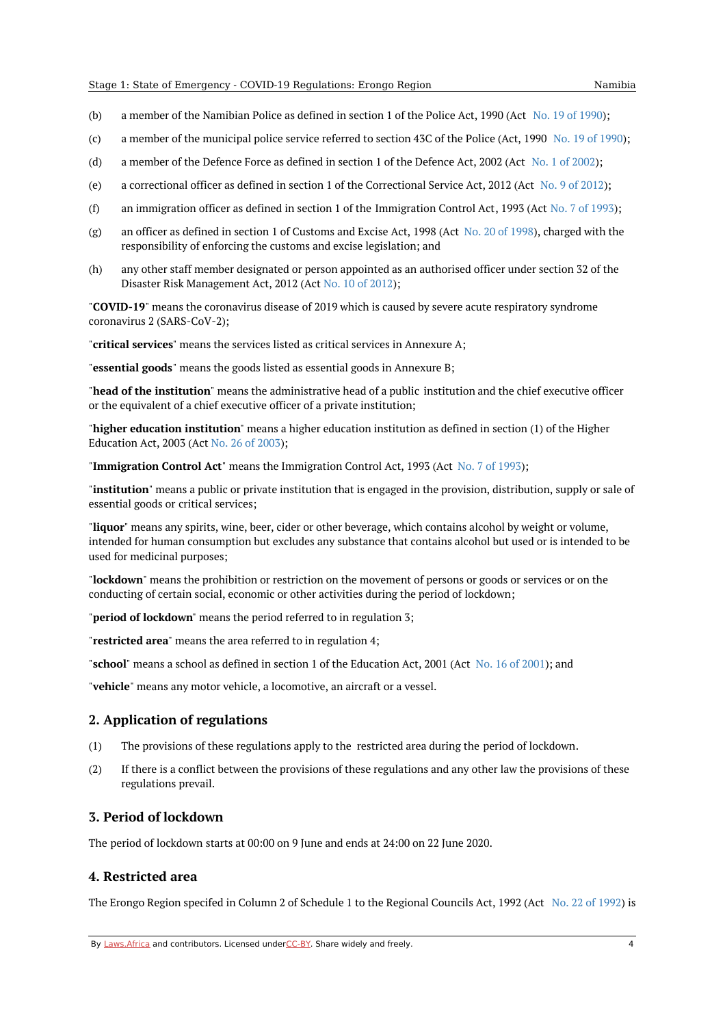- (b) a member of the Namibian Police as defined in section 1 of the Police Act, 1990 (Act No. 19 of [1990](https://africanlii.org/akn/na/act/1990/19));
- (c) a member of the municipal police service referred to section 43C of the Police (Act, [1990](https://africanlii.org/akn/na/act/1990/19) No. 19 of 1990);
- (d) a member of the Defence Force as defined in section 1 of the Defence Act, 2002 (Act No. 1 of [2002](https://africanlii.org/akn/na/act/2002/1));
- (e) a correctional officer as defined in section 1 of the Correctional Service Act, 2012 (Act No. 9 of [2012](https://africanlii.org/akn/na/act/2012/9));
- (f) an immigration officer as defined in section 1 of the Immigration Control Act, 1993 (Act No. 7 of [1993](https://africanlii.org/akn/na/act/1993/7));
- (g) an officer as defined in section 1 of Customs and Excise Act, 1998 (Act No. 20 of [1998](https://africanlii.org/akn/na/act/1998/20)), charged with the responsibility of enforcing the customs and excise legislation; and
- (h) any other staff member designated or person appointed as an authorised officer under section 32 of the Disaster Risk Management Act, 2012 (Act No. 10 of [2012](https://africanlii.org/akn/na/act/2012/10));

"**COVID-19**" means the coronavirus disease of 2019 which is caused by severe acute respiratory syndrome coronavirus 2 (SARS-CoV-2);

"**critical services**" means the services listed as critical services in Annexure A;

"**essential goods**" means the goods listed as essential goods in Annexure B;

"**head of the institution**" means the administrative head of a public institution and the chief executive officer or the equivalent of a chief executive officer of a private institution;

"**higher education institution**" means a higher education institution as defined in section (1) of the Higher Education Act, 2003 (Act No. 26 of [2003](https://africanlii.org/akn/na/act/2003/26));

"**Immigration Control Act**" means the Immigration Control Act, 1993 (Act No. 7 of [1993](https://africanlii.org/akn/na/act/1993/7));

"**institution**" means a public or private institution that is engaged in the provision, distribution, supply or sale of essential goods or critical services;

"**liquor**" means any spirits, wine, beer, cider or other beverage, which contains alcohol by weight or volume, intended for human consumption but excludes any substance that contains alcohol but used or is intended to be used for medicinal purposes;

"**lockdown**" means the prohibition or restriction on the movement of persons or goods or services or on the conducting of certain social, economic or other activities during the period of lockdown;

"**period of lockdown**" means the period referred to in regulation 3;

"**restricted area**" means the area referred to in regulation 4;

"**school**" means a school as defined in section 1 of the Education Act, 2001 (Act No. 16 of [2001](https://africanlii.org/akn/na/act/2001/16)); and

"**vehicle**" means any motor vehicle, a locomotive, an aircraft or a vessel.

#### <span id="page-3-0"></span>**2. Application of regulations**

- (1) The provisions of these regulations apply to the restricted area during the period of lockdown.
- (2) If there is a conflict between the provisions of these regulations and any other law the provisions of these regulations prevail.

#### <span id="page-3-1"></span>**3. Period of lockdown**

The period of lockdown starts at 00:00 on 9 June and ends at 24:00 on 22 June 2020.

## <span id="page-3-2"></span>**4. Restricted area**

The Erongo Region specifed in Column 2 of Schedule 1 to the Regional Councils Act, 1992 (Act No. 22 of [1992](https://africanlii.org/akn/na/act/1992/22)) is

By [Laws.Africa](https://edit.laws.africa/widgets/pdf-attribution) and contributors. Licensed und[erCC-B](https://edit.laws.africa/widgets/pdf-cc-by)Y. Share widely and freely. 4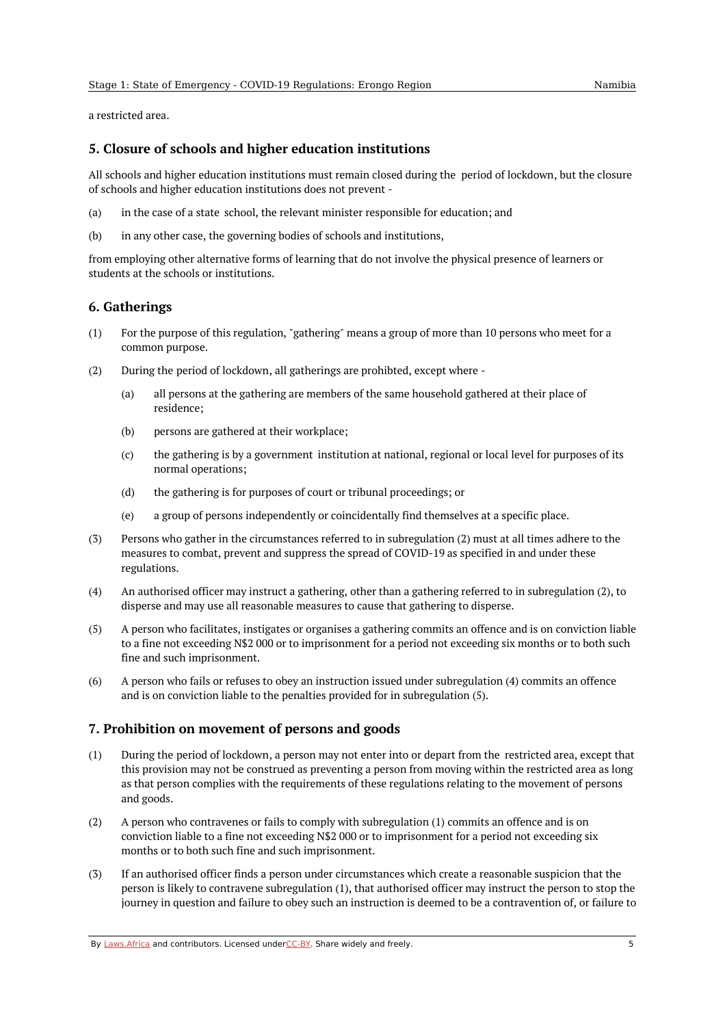a restricted area.

### <span id="page-4-0"></span>**5. Closure of schools and higher education institutions**

All schools and higher education institutions must remain closed during the period of lockdown, but the closure of schools and higher education institutions does not prevent -

- (a) in the case of a state school, the relevant minister responsible for education; and
- (b) in any other case, the governing bodies of schools and institutions,

from employing other alternative forms of learning that do not involve the physical presence of learners or students at the schools or institutions.

### <span id="page-4-1"></span>**6. Gatherings**

- (1) For the purpose of this regulation, "gathering" means a group of more than 10 persons who meet for a common purpose.
- (2) During the period of lockdown, all gatherings are prohibted, except where -
	- (a) all persons at the gathering are members of the same household gathered at their place of residence;
	- (b) persons are gathered at their workplace;
	- (c) the gathering is by a government institution at national, regional or local level for purposes of its normal operations;
	- (d) the gathering is for purposes of court or tribunal proceedings; or
	- (e) a group of persons independently or coincidentally find themselves at a specific place.
- (3) Persons who gather in the circumstances referred to in subregulation (2) must at all times adhere to the measures to combat, prevent and suppress the spread of COVID-19 as specified in and under these regulations.
- (4) An authorised officer may instruct a gathering, other than a gathering referred to in subregulation (2), to disperse and may use all reasonable measures to cause that gathering to disperse.
- (5) A person who facilitates, instigates or organises a gathering commits an offence and is on conviction liable to a fine not exceeding N\$2 000 or to imprisonment for a period not exceeding six months or to both such fine and such imprisonment.
- (6) A person who fails or refuses to obey an instruction issued under subregulation (4) commits an offence and is on conviction liable to the penalties provided for in subregulation (5).

## <span id="page-4-2"></span>**7. Prohibition on movement of persons and goods**

- (1) During the period of lockdown, a person may not enter into or depart from the restricted area, except that this provision may not be construed as preventing a person from moving within the restricted area as long as that person complies with the requirements of these regulations relating to the movement of persons and goods.
- (2) A person who contravenes or fails to comply with subregulation (1) commits an offence and is on conviction liable to a fine not exceeding N\$2 000 or to imprisonment for a period not exceeding six months or to both such fine and such imprisonment.
- (3) If an authorised officer finds a person under circumstances which create a reasonable suspicion that the person is likely to contravene subregulation (1), that authorised officer may instruct the person to stop the journey in question and failure to obey such an instruction is deemed to be a contravention of, or failure to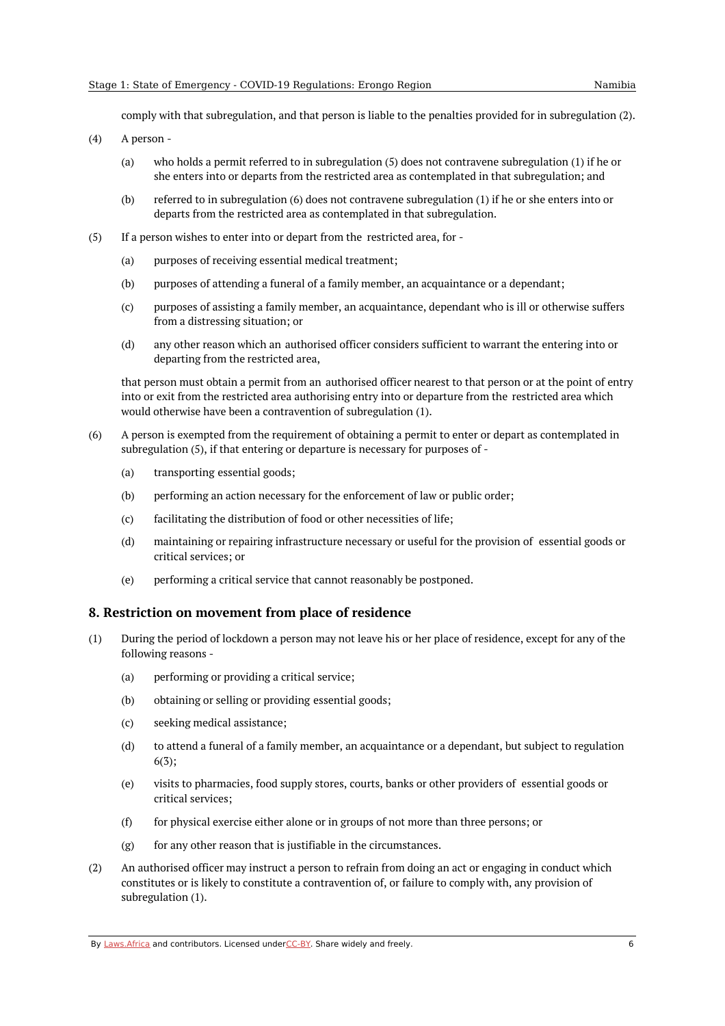comply with that subregulation, and that person is liable to the penalties provided for in subregulation (2).

(4) A person -

- (a) who holds a permit referred to in subregulation (5) does not contravene subregulation (1) if he or she enters into or departs from the restricted area as contemplated in that subregulation; and
- (b) referred to in subregulation (6) does not contravene subregulation (1) if he or she enters into or departs from the restricted area as contemplated in that subregulation.
- (5) If a person wishes to enter into or depart from the restricted area, for -
	- (a) purposes of receiving essential medical treatment;
	- (b) purposes of attending a funeral of a family member, an acquaintance or a dependant;
	- (c) purposes of assisting a family member, an acquaintance, dependant who is ill or otherwise suffers from a distressing situation; or
	- (d) any other reason which an authorised officer considers sufficient to warrant the entering into or departing from the restricted area,

that person must obtain a permit from an authorised officer nearest to that person or at the point of entry into or exit from the restricted area authorising entry into or departure from the restricted area which would otherwise have been a contravention of subregulation (1).

- (6) A person is exempted from the requirement of obtaining a permit to enter or depart as contemplated in subregulation (5), if that entering or departure is necessary for purposes of -
	- (a) transporting essential goods;
	- (b) performing an action necessary for the enforcement of law or public order;
	- (c) facilitating the distribution of food or other necessities of life;
	- (d) maintaining or repairing infrastructure necessary or useful for the provision of essential goods or critical services; or
	- (e) performing a critical service that cannot reasonably be postponed.

#### <span id="page-5-0"></span>**8. Restriction on movement from place of residence**

- (1) During the period of lockdown a person may not leave his or her place of residence, except for any of the following reasons -
	- (a) performing or providing a critical service;
	- (b) obtaining or selling or providing essential goods;
	- (c) seeking medical assistance;
	- (d) to attend a funeral of a family member, an acquaintance or a dependant, but subject to regulation 6(3);
	- (e) visits to pharmacies, food supply stores, courts, banks or other providers of essential goods or critical services;
	- (f) for physical exercise either alone or in groups of not more than three persons; or
	- (g) for any other reason that is justifiable in the circumstances.
- (2) An authorised officer may instruct a person to refrain from doing an act or engaging in conduct which constitutes or is likely to constitute a contravention of, or failure to comply with, any provision of subregulation (1).

By [Laws.Africa](https://edit.laws.africa/widgets/pdf-attribution) and contributors. Licensed und[erCC-B](https://edit.laws.africa/widgets/pdf-cc-by)Y. Share widely and freely.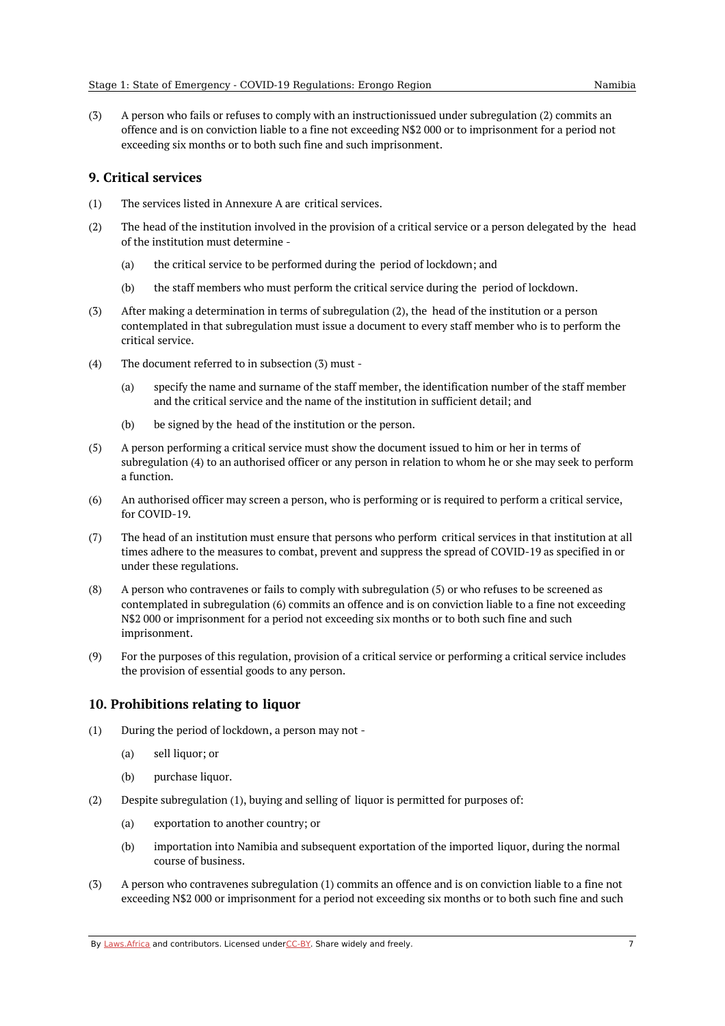(3) A person who fails or refuses to comply with an instructionissued under subregulation (2) commits an offence and is on conviction liable to a fine not exceeding N\$2 000 or to imprisonment for a period not exceeding six months or to both such fine and such imprisonment.

## <span id="page-6-0"></span>**9. Critical services**

- (1) The services listed in Annexure A are critical services.
- (2) The head of the institution involved in the provision of a critical service or a person delegated by the head of the institution must determine -
	- (a) the critical service to be performed during the period of lockdown; and
	- (b) the staff members who must perform the critical service during the period of lockdown.
- (3) After making a determination in terms of subregulation (2), the head of the institution or a person contemplated in that subregulation must issue a document to every staff member who is to perform the critical service.
- (4) The document referred to in subsection (3) must -
	- (a) specify the name and surname of the staff member, the identification number of the staff member and the critical service and the name of the institution in sufficient detail; and
	- (b) be signed by the head of the institution or the person.
- (5) A person performing a critical service must show the document issued to him or her in terms of subregulation (4) to an authorised officer or any person in relation to whom he or she may seek to perform a function.
- $(6)$ An authorised officer may screen a person, who is performing or is required to perform a critical service, for COVID-19.
- (7) The head of an institution must ensure that persons who perform critical services in that institution at all times adhere to the measures to combat, prevent and suppress the spread of COVID-19 as specified in or under these regulations.
- (8) A person who contravenes or fails to comply with subregulation (5) or who refuses to be screened as contemplated in subregulation (6) commits an offence and is on conviction liable to a fine not exceeding N\$2 000 or imprisonment for a period not exceeding six months or to both such fine and such imprisonment.
- (9) For the purposes of this regulation, provision of a critical service or performing a critical service includes the provision of essential goods to any person.

## <span id="page-6-1"></span>**10. Prohibitions relating to liquor**

- (1) During the period of lockdown, a person may not -
	- (a) sell liquor; or
	- (b) purchase liquor.
- (2) Despite subregulation (1), buying and selling of liquor is permitted for purposes of:
	- (a) exportation to another country; or
	- (b) importation into Namibia and subsequent exportation of the imported liquor, during the normal course of business.
- (3) A person who contravenes subregulation (1) commits an offence and is on conviction liable to a fine not exceeding N\$2 000 or imprisonment for a period not exceeding six months or to both such fine and such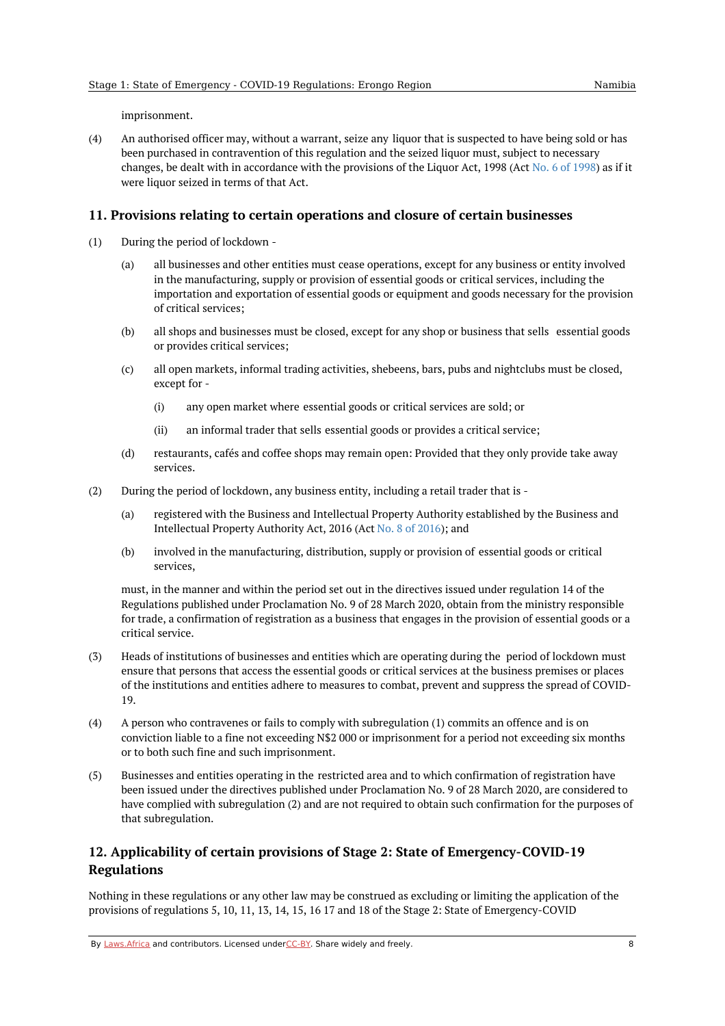imprisonment.

(4) An authorised officer may, without a warrant, seize any liquor that is suspected to have being sold or has been purchased in contravention of this regulation and the seized liquor must, subject to necessary changes, be dealt with in accordance with the provisions of the Liquor Act, 1998 (Act No. 6 of [1998](https://africanlii.org/akn/na/act/1998/6)) as if it were liquor seized in terms of that Act.

#### <span id="page-7-0"></span>**11. Provisions relating to certain operations and closure of certain businesses**

- (1) During the period of lockdown -
	- (a) all businesses and other entities must cease operations, except for any business or entity involved in the manufacturing, supply or provision of essential goods or critical services, including the importation and exportation of essential goods or equipment and goods necessary for the provision of critical services;
	- (b) all shops and businesses must be closed, except for any shop or business that sells essential goods or provides critical services;
	- $(c)$ all open markets, informal trading activities, shebeens, bars, pubs and nightclubs must be closed, except for -
		- (i) any open market where essential goods or critical services are sold; or
		- (ii) an informal trader that sells essential goods or provides a critical service;
	- (d) restaurants, cafés and coffee shops may remain open: Provided that they only provide take away services.
- (2) During the period of lockdown, any business entity, including a retail trader that is -
	- (a) registered with the Business and Intellectual Property Authority established by the Business and Intellectual Property Authority Act, 2016 (Act No. 8 of [2016](https://africanlii.org/akn/na/act/2016/8)); and
	- (b) involved in the manufacturing, distribution, supply or provision of essential goods or critical services,

must, in the manner and within the period set out in the directives issued under regulation 14 of the Regulations published under Proclamation No. 9 of 28 March 2020, obtain from the ministry responsible for trade, a confirmation of registration as a business that engages in the provision of essential goods or a critical service.

- (3) Heads of institutions of businesses and entities which are operating during the period of lockdown must ensure that persons that access the essential goods or critical services at the business premises or places of the institutions and entities adhere to measures to combat, prevent and suppress the spread of COVID-19.
- (4) A person who contravenes or fails to comply with subregulation (1) commits an offence and is on conviction liable to a fine not exceeding N\$2 000 or imprisonment for a period not exceeding six months or to both such fine and such imprisonment.
- (5) Businesses and entities operating in the restricted area and to which confirmation of registration have been issued under the directives published under Proclamation No. 9 of 28 March 2020, are considered to have complied with subregulation (2) and are not required to obtain such confirmation for the purposes of that subregulation.

# <span id="page-7-1"></span>**12. Applicability of certain provisions of Stage 2: State of Emergency-COVID-19 Regulations**

Nothing in these regulations or any other law may be construed as excluding or limiting the application of the provisions of regulations 5, 10, 11, 13, 14, 15, 16 17 and 18 of the Stage 2: State of Emergency-COVID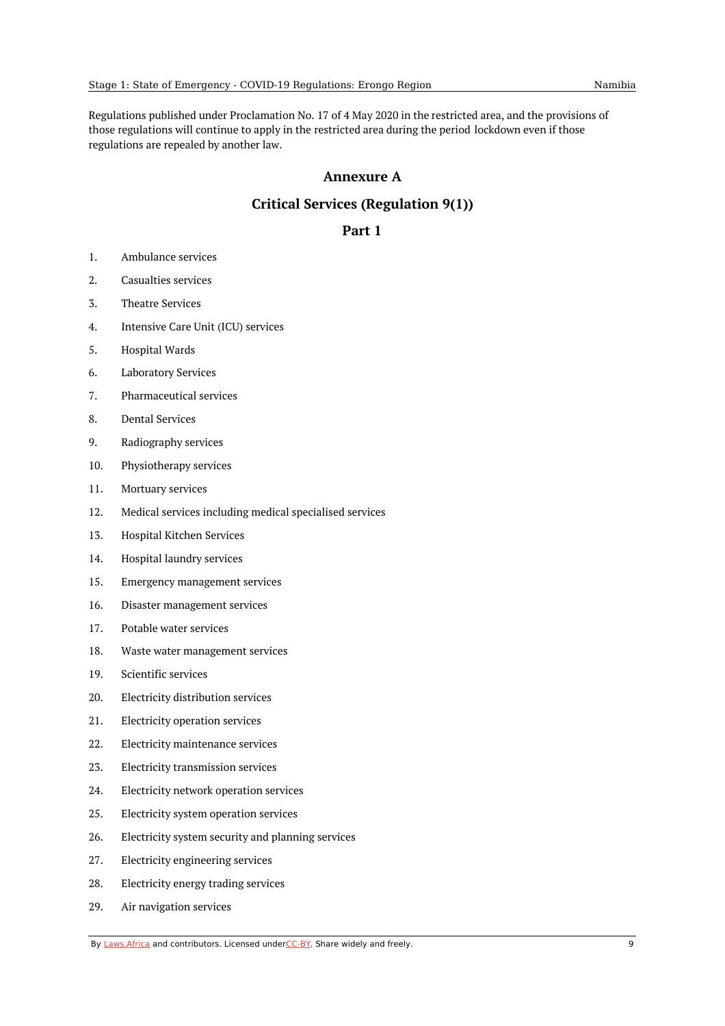<span id="page-8-0"></span>Regulations published under Proclamation No. 17 of 4 May 2020 in the restricted area, and the provisions of those regulations will continue to apply in the restricted area during the period lockdown even if those regulations are repealed by another law.

# **Annexure A**

# **Critical Services (Regulation 9(1))**

# **Part 1**

- <span id="page-8-2"></span><span id="page-8-1"></span>1. Ambulance services
- 2. Casualties services
- 3. Theatre Services
- 4. Intensive Care Unit (ICU) services
- 5. Hospital Wards
- 6. Laboratory Services
- 7. Pharmaceutical services
- 8. Dental Services
- 9. Radiography services
- 10. Physiotherapy services
- 11. Mortuary services
- 12. Medical services including medical specialised services
- 13. Hospital Kitchen Services
- 14. Hospital laundry services
- 15. Emergency management services
- 16. Disaster management services
- 17. Potable water services
- 18. Waste water management services
- 19. Scientific services
- 20. Electricity distribution services
- 21. Electricity operation services
- 22. Electricity maintenance services
- 23. Electricity transmission services
- 24. Electricity network operation services
- 25. Electricity system operation services
- 26. Electricity system security and planning services
- 27. Electricity engineering services
- 28. Electricity energy trading services
- 29. Air navigation services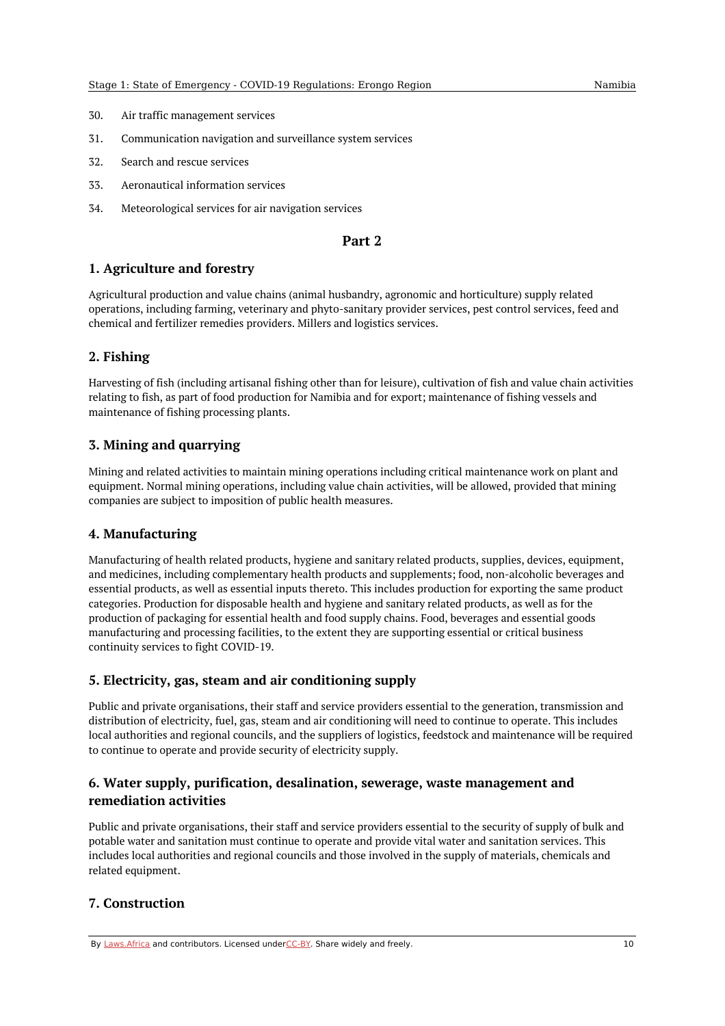- 30. Air traffic management services
- 31. Communication navigation and surveillance system services
- 32. Search and rescue services
- 33. Aeronautical information services
- 34. Meteorological services for air navigation services

#### **Part 2**

# <span id="page-9-1"></span><span id="page-9-0"></span>**1. Agriculture and forestry**

Agricultural production and value chains (animal husbandry, agronomic and horticulture) supply related operations, including farming, veterinary and phyto-sanitary provider services, pest control services, feed and chemical and fertilizer remedies providers. Millers and logistics services.

# <span id="page-9-2"></span>**2. Fishing**

Harvesting of fish (including artisanal fishing other than for leisure), cultivation of fish and value chain activities relating to fish, as part of food production for Namibia and for export; maintenance of fishing vessels and maintenance of fishing processing plants.

# <span id="page-9-3"></span>**3. Mining and quarrying**

Mining and related activities to maintain mining operations including critical maintenance work on plant and equipment. Normal mining operations, including value chain activities, will be allowed, provided that mining companies are subject to imposition of public health measures.

## <span id="page-9-4"></span>**4. Manufacturing**

Manufacturing of health related products, hygiene and sanitary related products, supplies, devices, equipment, and medicines, including complementary health products and supplements; food, non-alcoholic beverages and essential products, as well as essential inputs thereto. This includes production for exporting the same product categories. Production for disposable health and hygiene and sanitary related products, as well as for the production of packaging for essential health and food supply chains. Food, beverages and essential goods manufacturing and processing facilities, to the extent they are supporting essential or critical business continuity services to fight COVID-19.

## <span id="page-9-5"></span>**5. Electricity, gas, steam and air conditioning supply**

Public and private organisations, their staff and service providers essential to the generation, transmission and distribution of electricity, fuel, gas, steam and air conditioning will need to continue to operate. This includes local authorities and regional councils, and the suppliers of logistics, feedstock and maintenance will be required to continue to operate and provide security of electricity supply.

# <span id="page-9-6"></span>**6. Water supply, purification, desalination, sewerage, waste management and remediation activities**

Public and private organisations, their staff and service providers essential to the security of supply of bulk and potable water and sanitation must continue to operate and provide vital water and sanitation services. This includes local authorities and regional councils and those involved in the supply of materials, chemicals and related equipment.

## <span id="page-9-7"></span>**7. Construction**

By [Laws.Africa](https://edit.laws.africa/widgets/pdf-attribution) and contributors. Licensed und[erCC-B](https://edit.laws.africa/widgets/pdf-cc-by)Y. Share widely and freely. 10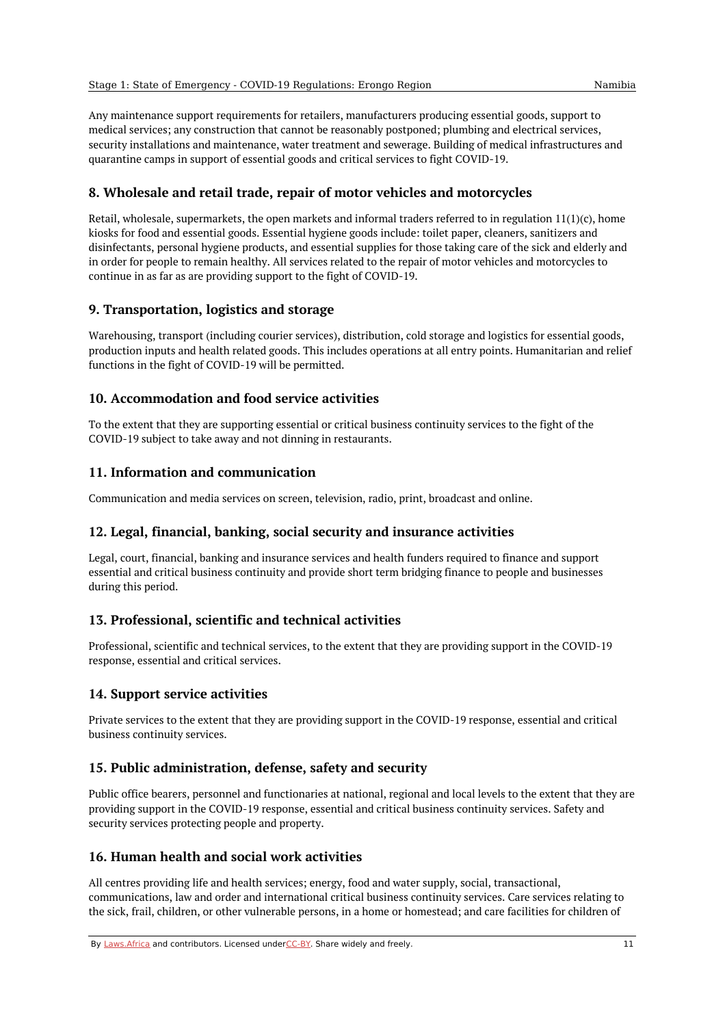Any maintenance support requirements for retailers, manufacturers producing essential goods, support to medical services; any construction that cannot be reasonably postponed; plumbing and electrical services, security installations and maintenance, water treatment and sewerage. Building of medical infrastructures and quarantine camps in support of essential goods and critical services to fight COVID-19.

# <span id="page-10-0"></span>**8. Wholesale and retail trade, repair of motor vehicles and motorcycles**

Retail, wholesale, supermarkets, the open markets and informal traders referred to in regulation  $11(1)(c)$ , home kiosks for food and essential goods. Essential hygiene goods include: toilet paper, cleaners, sanitizers and disinfectants, personal hygiene products, and essential supplies for those taking care of the sick and elderly and in order for people to remain healthy. All services related to the repair of motor vehicles and motorcycles to continue in as far as are providing support to the fight of COVID-19.

# <span id="page-10-1"></span>**9. Transportation, logistics and storage**

Warehousing, transport (including courier services), distribution, cold storage and logistics for essential goods, production inputs and health related goods. This includes operations at all entry points. Humanitarian and relief functions in the fight of COVID-19 will be permitted.

# <span id="page-10-2"></span>**10. Accommodation and food service activities**

To the extent that they are supporting essential or critical business continuity services to the fight of the COVID-19 subject to take away and not dinning in restaurants.

# <span id="page-10-3"></span>**11. Information and communication**

Communication and media services on screen, television, radio, print, broadcast and online.

## <span id="page-10-4"></span>**12. Legal, financial, banking, social security and insurance activities**

Legal, court, financial, banking and insurance services and health funders required to finance and support essential and critical business continuity and provide short term bridging finance to people and businesses during this period.

# <span id="page-10-5"></span>**13. Professional, scientific and technical activities**

Professional, scientific and technical services, to the extent that they are providing support in the COVID-19 response, essential and critical services.

## <span id="page-10-6"></span>**14. Support service activities**

Private services to the extent that they are providing support in the COVID-19 response, essential and critical business continuity services.

# <span id="page-10-7"></span>**15. Public administration, defense, safety and security**

Public office bearers, personnel and functionaries at national, regional and local levels to the extent that they are providing support in the COVID-19 response, essential and critical business continuity services. Safety and security services protecting people and property.

## <span id="page-10-8"></span>**16. Human health and social work activities**

All centres providing life and health services; energy, food and water supply, social, transactional, communications, law and order and international critical business continuity services. Care services relating to the sick, frail, children, or other vulnerable persons, in a home or homestead; and care facilities for children of